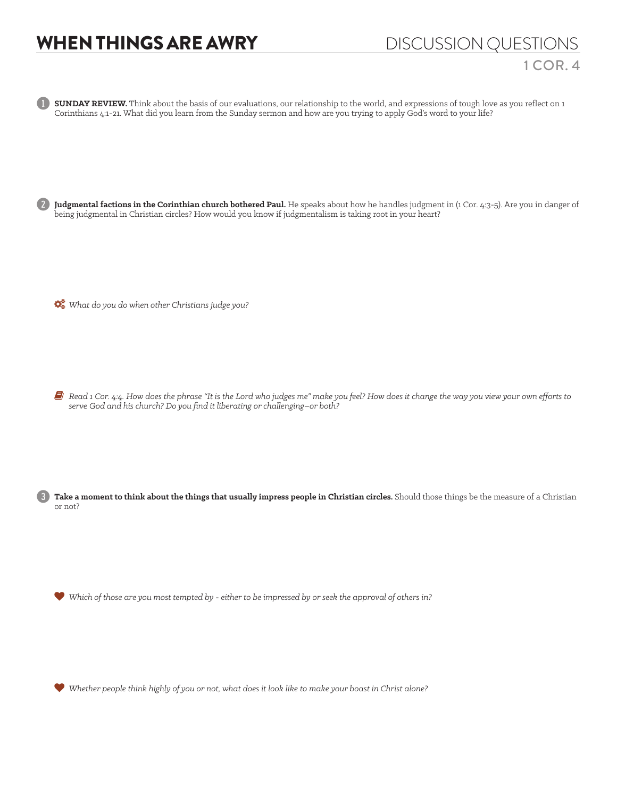## WHEN THINGS ARE AWRY DISCUSSION QUESTIONS

**SUNDAY REVIEW.** Think about the basis of our evaluations, our relationship to the world, and expressions of tough love as you reflect on 1 Corinthians 4:1-21. What did you learn from the Sunday sermon and how are you trying to apply God's word to your life?

2 **Judgmental factions in the Corinthian church bothered Paul.** He speaks about how he handles judgment in (1 Cor. 4:3-5). Are you in danger of being judgmental in Christian circles? How would you know if judgmentalism is taking root in your heart?

*What do you do when other Christians judge you?* 

6 *Read 1 Cor. 4:4. How does the phrase "It is the Lord who judges me" make you feel? How does it change the way you view your own efforts to serve God and his church? Do you find it liberating or challenging–or both?*

Take a moment to think about the things that usually impress people in Christian circles. Should those things be the measure of a Christian or not?

*Which of those are you most tempted by - either to be impressed by or seek the approval of others in?*

*Whether people think highly of you or not, what does it look like to make your boast in Christ alone?*